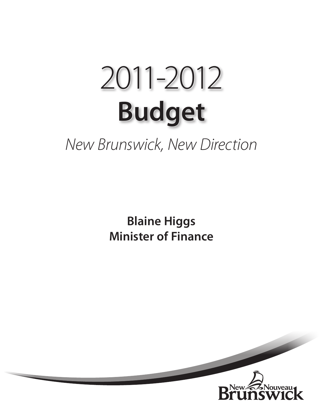# **Budget** 2011-2012

## *New Brunswick, New Direction*

**Blaine Higgs Minister of Finance**

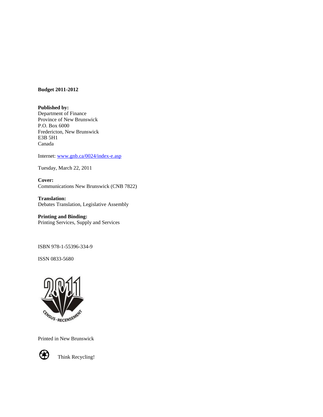#### **Budget 2011-2012**

**Published by:** Department of Finance Province of New Brunswick P.O. Box 6000 Fredericton, New Brunswick E3B 5H1 Canada

Internet: [www.gnb.ca/0024/index-e.asp](http://www.gnb.ca/0024/index-e.asp)

Tuesday, March 22, 2011

**Cover:** Communications New Brunswick (CNB 7822)

**Translation:** Debates Translation, Legislative Assembly

#### **Printing and Binding:**

Printing Services, Supply and Services

ISBN 978-1-55396-334-9

ISSN 0833-5680



Printed in New Brunswick



Think Recycling!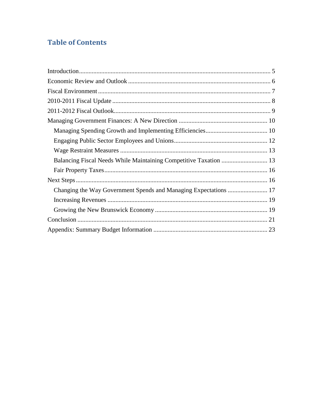### **Table of Contents**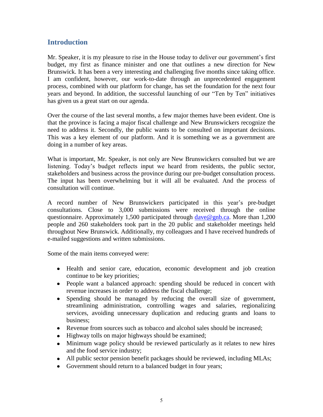#### <span id="page-4-0"></span>**Introduction**

Mr. Speaker, it is my pleasure to rise in the House today to deliver our government's first budget, my first as finance minister and one that outlines a new direction for New Brunswick. It has been a very interesting and challenging five months since taking office. I am confident, however, our work-to-date through an unprecedented engagement process, combined with our platform for change, has set the foundation for the next four years and beyond. In addition, the successful launching of our "Ten by Ten" initiatives has given us a great start on our agenda.

Over the course of the last several months, a few major themes have been evident. One is that the province is facing a major fiscal challenge and New Brunswickers recognize the need to address it. Secondly, the public wants to be consulted on important decisions. This was a key element of our platform. And it is something we as a government are doing in a number of key areas.

What is important, Mr. Speaker, is not only are New Brunswickers consulted but we are listening. Today's budget reflects input we heard from residents, the public sector, stakeholders and business across the province during our pre-budget consultation process. The input has been overwhelming but it will all be evaluated. And the process of consultation will continue.

A record number of New Brunswickers participated in this year's pre-budget consultations. Close to 3,000 submissions were received through the online questionnaire. Approximately 1,500 participated through [dave@gnb.ca.](mailto:dave@gnb.ca) More than 1,200 people and 260 stakeholders took part in the 20 public and stakeholder meetings held throughout New Brunswick. Additionally, my colleagues and I have received hundreds of e-mailed suggestions and written submissions.

Some of the main items conveyed were:

- Health and senior care, education, economic development and job creation continue to be key priorities;
- People want a balanced approach: spending should be reduced in concert with revenue increases in order to address the fiscal challenge;
- Spending should be managed by reducing the overall size of government, streamlining administration, controlling wages and salaries, regionalizing services, avoiding unnecessary duplication and reducing grants and loans to business;
- Revenue from sources such as tobacco and alcohol sales should be increased;
- Highway tolls on major highways should be examined;
- Minimum wage policy should be reviewed particularly as it relates to new hires and the food service industry;
- All public sector pension benefit packages should be reviewed, including MLAs;
- Government should return to a balanced budget in four years;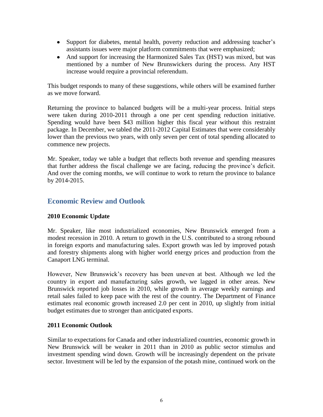- <span id="page-5-0"></span>• Support for diabetes, mental health, poverty reduction and addressing teacher's assistants issues were major platform commitments that were emphasized;
- And support for increasing the Harmonized Sales Tax (HST) was mixed, but was mentioned by a number of New Brunswickers during the process. Any HST increase would require a provincial referendum.

This budget responds to many of these suggestions, while others will be examined further as we move forward.

Returning the province to balanced budgets will be a multi-year process. Initial steps were taken during 2010-2011 through a one per cent spending reduction initiative. Spending would have been \$43 million higher this fiscal year without this restraint package. In December, we tabled the 2011-2012 Capital Estimates that were considerably lower than the previous two years, with only seven per cent of total spending allocated to commence new projects.

Mr. Speaker, today we table a budget that reflects both revenue and spending measures that further address the fiscal challenge we are facing, reducing the province's deficit. And over the coming months, we will continue to work to return the province to balance by 2014-2015.

#### **Economic Review and Outlook**

#### **2010 Economic Update**

Mr. Speaker, like most industrialized economies, New Brunswick emerged from a modest recession in 2010. A return to growth in the U.S. contributed to a strong rebound in foreign exports and manufacturing sales. Export growth was led by improved potash and forestry shipments along with higher world energy prices and production from the Canaport LNG terminal.

However, New Brunswick's recovery has been uneven at best. Although we led the country in export and manufacturing sales growth, we lagged in other areas. New Brunswick reported job losses in 2010, while growth in average weekly earnings and retail sales failed to keep pace with the rest of the country. The Department of Finance estimates real economic growth increased 2.0 per cent in 2010, up slightly from initial budget estimates due to stronger than anticipated exports.

#### **2011 Economic Outlook**

Similar to expectations for Canada and other industrialized countries, economic growth in New Brunswick will be weaker in 2011 than in 2010 as public sector stimulus and investment spending wind down. Growth will be increasingly dependent on the private sector. Investment will be led by the expansion of the potash mine, continued work on the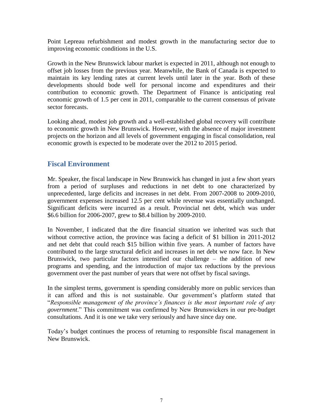<span id="page-6-0"></span>Point Lepreau refurbishment and modest growth in the manufacturing sector due to improving economic conditions in the U.S.

Growth in the New Brunswick labour market is expected in 2011, although not enough to offset job losses from the previous year. Meanwhile, the Bank of Canada is expected to maintain its key lending rates at current levels until later in the year. Both of these developments should bode well for personal income and expenditures and their contribution to economic growth. The Department of Finance is anticipating real economic growth of 1.5 per cent in 2011, comparable to the current consensus of private sector forecasts.

Looking ahead, modest job growth and a well-established global recovery will contribute to economic growth in New Brunswick. However, with the absence of major investment projects on the horizon and all levels of government engaging in fiscal consolidation, real economic growth is expected to be moderate over the 2012 to 2015 period.

#### **Fiscal Environment**

Mr. Speaker, the fiscal landscape in New Brunswick has changed in just a few short years from a period of surpluses and reductions in net debt to one characterized by unprecedented, large deficits and increases in net debt. From 2007-2008 to 2009-2010, government expenses increased 12.5 per cent while revenue was essentially unchanged. Significant deficits were incurred as a result. Provincial net debt, which was under \$6.6 billion for 2006-2007, grew to \$8.4 billion by 2009-2010.

In November, I indicated that the dire financial situation we inherited was such that without corrective action, the province was facing a deficit of \$1 billion in 2011-2012 and net debt that could reach \$15 billion within five years. A number of factors have contributed to the large structural deficit and increases in net debt we now face. In New Brunswick, two particular factors intensified our challenge – the addition of new programs and spending, and the introduction of major tax reductions by the previous government over the past number of years that were not offset by fiscal savings.

In the simplest terms, government is spending considerably more on public services than it can afford and this is not sustainable. Our government's platform stated that "*Responsible management of the province's finances is the most important role of any government*." This commitment was confirmed by New Brunswickers in our pre-budget consultations. And it is one we take very seriously and have since day one.

Today's budget continues the process of returning to responsible fiscal management in New Brunswick.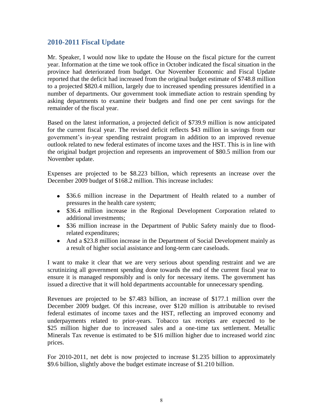#### <span id="page-7-0"></span>**2010-2011 Fiscal Update**

Mr. Speaker, I would now like to update the House on the fiscal picture for the current year. Information at the time we took office in October indicated the fiscal situation in the province had deteriorated from budget. Our November Economic and Fiscal Update reported that the deficit had increased from the original budget estimate of \$748.8 million to a projected \$820.4 million, largely due to increased spending pressures identified in a number of departments. Our government took immediate action to restrain spending by asking departments to examine their budgets and find one per cent savings for the remainder of the fiscal year.

Based on the latest information, a projected deficit of \$739.9 million is now anticipated for the current fiscal year. The revised deficit reflects \$43 million in savings from our government's in-year spending restraint program in addition to an improved revenue outlook related to new federal estimates of income taxes and the HST. This is in line with the original budget projection and represents an improvement of \$80.5 million from our November update.

Expenses are projected to be \$8.223 billion, which represents an increase over the December 2009 budget of \$168.2 million. This increase includes:

- \$36.6 million increase in the Department of Health related to a number of pressures in the health care system;
- \$36.4 million increase in the Regional Development Corporation related to additional investments;
- \$36 million increase in the Department of Public Safety mainly due to floodrelated expenditures;
- And a \$23.8 million increase in the Department of Social Development mainly as a result of higher social assistance and long-term care caseloads.

I want to make it clear that we are very serious about spending restraint and we are scrutinizing all government spending done towards the end of the current fiscal year to ensure it is managed responsibly and is only for necessary items. The government has issued a directive that it will hold departments accountable for unnecessary spending.

Revenues are projected to be \$7.483 billion, an increase of \$177.1 million over the December 2009 budget. Of this increase, over \$120 million is attributable to revised federal estimates of income taxes and the HST, reflecting an improved economy and underpayments related to prior-years. Tobacco tax receipts are expected to be \$25 million higher due to increased sales and a one-time tax settlement. Metallic Minerals Tax revenue is estimated to be \$16 million higher due to increased world zinc prices.

For 2010-2011, net debt is now projected to increase \$1.235 billion to approximately \$9.6 billion, slightly above the budget estimate increase of \$1.210 billion.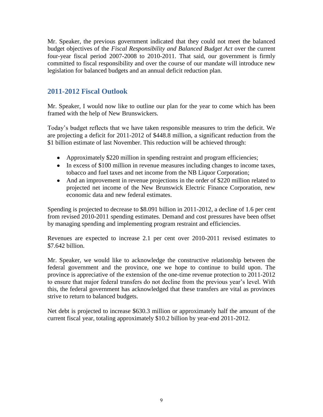<span id="page-8-0"></span>Mr. Speaker, the previous government indicated that they could not meet the balanced budget objectives of the *Fiscal Responsibility and Balanced Budget Act* over the current four-year fiscal period 2007-2008 to 2010-2011. That said, our government is firmly committed to fiscal responsibility and over the course of our mandate will introduce new legislation for balanced budgets and an annual deficit reduction plan.

#### **2011-2012 Fiscal Outlook**

Mr. Speaker, I would now like to outline our plan for the year to come which has been framed with the help of New Brunswickers.

Today's budget reflects that we have taken responsible measures to trim the deficit. We are projecting a deficit for 2011-2012 of \$448.8 million, a significant reduction from the \$1 billion estimate of last November. This reduction will be achieved through:

- Approximately \$220 million in spending restraint and program efficiencies;
- In excess of \$100 million in revenue measures including changes to income taxes, tobacco and fuel taxes and net income from the NB Liquor Corporation;
- And an improvement in revenue projections in the order of \$220 million related to projected net income of the New Brunswick Electric Finance Corporation, new economic data and new federal estimates.

Spending is projected to decrease to \$8.091 billion in 2011-2012, a decline of 1.6 per cent from revised 2010-2011 spending estimates. Demand and cost pressures have been offset by managing spending and implementing program restraint and efficiencies.

Revenues are expected to increase 2.1 per cent over 2010-2011 revised estimates to \$7.642 billion.

Mr. Speaker, we would like to acknowledge the constructive relationship between the federal government and the province, one we hope to continue to build upon. The province is appreciative of the extension of the one-time revenue protection to 2011-2012 to ensure that major federal transfers do not decline from the previous year's level. With this, the federal government has acknowledged that these transfers are vital as provinces strive to return to balanced budgets.

Net debt is projected to increase \$630.3 million or approximately half the amount of the current fiscal year, totaling approximately \$10.2 billion by year-end 2011-2012.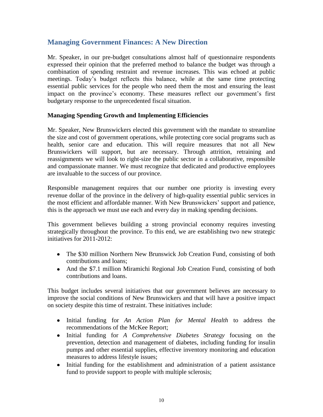#### <span id="page-9-0"></span>**Managing Government Finances: A New Direction**

Mr. Speaker, in our pre-budget consultations almost half of questionnaire respondents expressed their opinion that the preferred method to balance the budget was through a combination of spending restraint and revenue increases. This was echoed at public meetings. Today's budget reflects this balance, while at the same time protecting essential public services for the people who need them the most and ensuring the least impact on the province's economy. These measures reflect our government's first budgetary response to the unprecedented fiscal situation.

#### **Managing Spending Growth and Implementing Efficiencies**

Mr. Speaker, New Brunswickers elected this government with the mandate to streamline the size and cost of government operations, while protecting core social programs such as health, senior care and education. This will require measures that not all New Brunswickers will support, but are necessary. Through attrition, retraining and reassignments we will look to right-size the public sector in a collaborative, responsible and compassionate manner. We must recognize that dedicated and productive employees are invaluable to the success of our province.

Responsible management requires that our number one priority is investing every revenue dollar of the province in the delivery of high-quality essential public services in the most efficient and affordable manner. With New Brunswickers' support and patience, this is the approach we must use each and every day in making spending decisions.

This government believes building a strong provincial economy requires investing strategically throughout the province. To this end, we are establishing two new strategic initiatives for 2011-2012:

- The \$30 million Northern New Brunswick Job Creation Fund, consisting of both contributions and loans;
- And the \$7.1 million Miramichi Regional Job Creation Fund, consisting of both contributions and loans.

This budget includes several initiatives that our government believes are necessary to improve the social conditions of New Brunswickers and that will have a positive impact on society despite this time of restraint. These initiatives include:

- Initial funding for *An Action Plan for Mental Health* to address the recommendations of the McKee Report;
- Initial funding for *A Comprehensive Diabetes Strategy* focusing on the prevention, detection and management of diabetes, including funding for insulin pumps and other essential supplies, effective inventory monitoring and education measures to address lifestyle issues;
- Initial funding for the establishment and administration of a patient assistance fund to provide support to people with multiple sclerosis;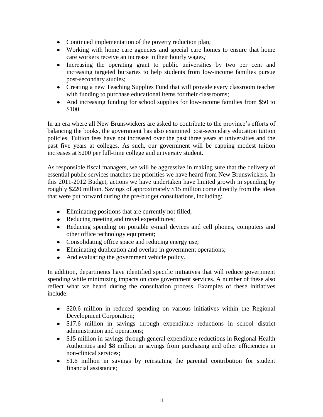- Continued implementation of the poverty reduction plan;
- Working with home care agencies and special care homes to ensure that home care workers receive an increase in their hourly wages*;*
- Increasing the operating grant to public universities by two per cent and increasing targeted bursaries to help students from low-income families pursue post-secondary studies;
- Creating a new Teaching Supplies Fund that will provide every classroom teacher with funding to purchase educational items for their classrooms;
- And increasing funding for school supplies for low-income families from \$50 to \$100.

In an era where all New Brunswickers are asked to contribute to the province's efforts of balancing the books, the government has also examined post-secondary education tuition policies. Tuition fees have not increased over the past three years at universities and the past five years at colleges. As such, our government will be capping modest tuition increases at \$200 per full-time college and university student.

As responsible fiscal managers, we will be aggressive in making sure that the delivery of essential public services matches the priorities we have heard from New Brunswickers. In this 2011-2012 Budget, actions we have undertaken have limited growth in spending by roughly \$220 million. Savings of approximately \$15 million come directly from the ideas that were put forward during the pre-budget consultations, including:

- Eliminating positions that are currently not filled;
- Reducing meeting and travel expenditures;
- Reducing spending on portable e-mail devices and cell phones, computers and other office technology equipment;
- Consolidating office space and reducing energy use;
- Eliminating duplication and overlap in government operations;
- And evaluating the government vehicle policy.

In addition, departments have identified specific initiatives that will reduce government spending while minimizing impacts on core government services. A number of these also reflect what we heard during the consultation process. Examples of these initiatives include:

- \$20.6 million in reduced spending on various initiatives within the Regional Development Corporation;
- \$17.6 million in savings through expenditure reductions in school district administration and operations;
- \$15 million in savings through general expenditure reductions in Regional Health Authorities and \$8 million in savings from purchasing and other efficiencies in non-clinical services;
- \$1.6 million in savings by reinstating the parental contribution for student financial assistance;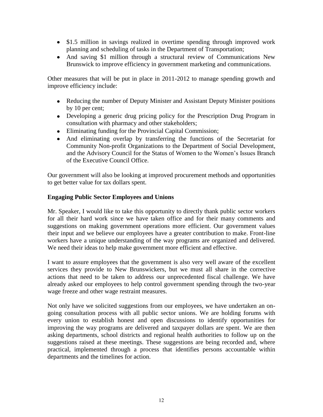- <span id="page-11-0"></span>• \$1.5 million in savings realized in overtime spending through improved work planning and scheduling of tasks in the Department of Transportation;
- And saving \$1 million through a structural review of Communications New Brunswick to improve efficiency in government marketing and communications.

Other measures that will be put in place in 2011-2012 to manage spending growth and improve efficiency include:

- Reducing the number of Deputy Minister and Assistant Deputy Minister positions by 10 per cent;
- Developing a generic drug pricing policy for the Prescription Drug Program in consultation with pharmacy and other stakeholders;
- Eliminating funding for the Provincial Capital Commission;
- And eliminating overlap by transferring the functions of the Secretariat for Community Non-profit Organizations to the Department of Social Development, and the Advisory Council for the Status of Women to the Women's Issues Branch of the Executive Council Office.

Our government will also be looking at improved procurement methods and opportunities to get better value for tax dollars spent.

#### **Engaging Public Sector Employees and Unions**

Mr. Speaker, I would like to take this opportunity to directly thank public sector workers for all their hard work since we have taken office and for their many comments and suggestions on making government operations more efficient. Our government values their input and we believe our employees have a greater contribution to make. Front-line workers have a unique understanding of the way programs are organized and delivered. We need their ideas to help make government more efficient and effective.

I want to assure employees that the government is also very well aware of the excellent services they provide to New Brunswickers, but we must all share in the corrective actions that need to be taken to address our unprecedented fiscal challenge. We have already asked our employees to help control government spending through the two-year wage freeze and other wage restraint measures.

Not only have we solicited suggestions from our employees, we have undertaken an ongoing consultation process with all public sector unions. We are holding forums with every union to establish honest and open discussions to identify opportunities for improving the way programs are delivered and taxpayer dollars are spent. We are then asking departments, school districts and regional health authorities to follow up on the suggestions raised at these meetings. These suggestions are being recorded and, where practical, implemented through a process that identifies persons accountable within departments and the timelines for action.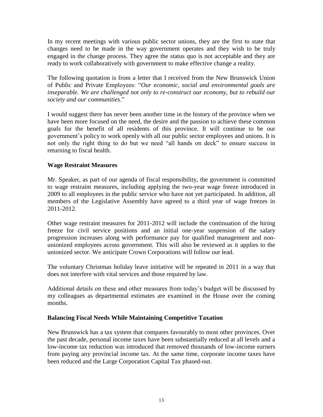<span id="page-12-0"></span>In my recent meetings with various public sector unions, they are the first to state that changes need to be made in the way government operates and they wish to be truly engaged in the change process. They agree the status quo is not acceptable and they are ready to work collaboratively with government to make effective change a reality.

The following quotation is from a letter that I received from the New Brunswick Union of Public and Private Employees: "*Our economic, social and environmental goals are inseparable. We are challenged not only to re-construct our economy, but to rebuild our society and our communities*."

I would suggest there has never been another time in the history of the province when we have been more focused on the need, the desire and the passion to achieve these common goals for the benefit of all residents of this province. It will continue to be our government's policy to work openly with all our public sector employees and unions. It is not only the right thing to do but we need "all hands on deck" to ensure success in returning to fiscal health.

#### **Wage Restraint Measures**

Mr. Speaker, as part of our agenda of fiscal responsibility, the government is committed to wage restraint measures, including applying the two-year wage freeze introduced in 2009 to all employees in the public service who have not yet participated. In addition, all members of the Legislative Assembly have agreed to a third year of wage freezes in 2011-2012.

Other wage restraint measures for 2011-2012 will include the continuation of the hiring freeze for civil service positions and an initial one-year suspension of the salary progression increases along with performance pay for qualified management and nonunionized employees across government. This will also be reviewed as it applies to the unionized sector. We anticipate Crown Corporations will follow our lead.

The voluntary Christmas holiday leave initiative will be repeated in 2011 in a way that does not interfere with vital services and those required by law.

Additional details on these and other measures from today's budget will be discussed by my colleagues as departmental estimates are examined in the House over the coming months.

#### **Balancing Fiscal Needs While Maintaining Competitive Taxation**

New Brunswick has a tax system that compares favourably to most other provinces. Over the past decade, personal income taxes have been substantially reduced at all levels and a low-income tax reduction was introduced that removed thousands of low-income earners from paying any provincial income tax. At the same time, corporate income taxes have been reduced and the Large Corporation Capital Tax phased-out.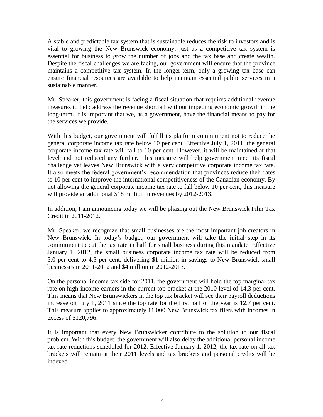A stable and predictable tax system that is sustainable reduces the risk to investors and is vital to growing the New Brunswick economy, just as a competitive tax system is essential for business to grow the number of jobs and the tax base and create wealth. Despite the fiscal challenges we are facing, our government will ensure that the province maintains a competitive tax system. In the longer-term, only a growing tax base can ensure financial resources are available to help maintain essential public services in a sustainable manner.

Mr. Speaker, this government is facing a fiscal situation that requires additional revenue measures to help address the revenue shortfall without impeding economic growth in the long-term. It is important that we, as a government, have the financial means to pay for the services we provide.

With this budget, our government will fulfill its platform commitment not to reduce the general corporate income tax rate below 10 per cent. Effective July 1, 2011, the general corporate income tax rate will fall to 10 per cent. However, it will be maintained at that level and not reduced any further. This measure will help government meet its fiscal challenge yet leaves New Brunswick with a very competitive corporate income tax rate. It also meets the federal government's recommendation that provinces reduce their rates to 10 per cent to improve the international competitiveness of the Canadian economy. By not allowing the general corporate income tax rate to fall below 10 per cent, this measure will provide an additional \$18 million in revenues by 2012-2013.

In addition, I am announcing today we will be phasing out the New Brunswick Film Tax Credit in 2011-2012.

Mr. Speaker, we recognize that small businesses are the most important job creators in New Brunswick. In today's budget, our government will take the initial step in its commitment to cut the tax rate in half for small business during this mandate. Effective January 1, 2012, the small business corporate income tax rate will be reduced from 5.0 per cent to 4.5 per cent, delivering \$1 million in savings to New Brunswick small businesses in 2011-2012 and \$4 million in 2012-2013.

On the personal income tax side for 2011, the government will hold the top marginal tax rate on high-income earners in the current top bracket at the 2010 level of 14.3 per cent. This means that New Brunswickers in the top tax bracket will see their payroll deductions increase on July 1, 2011 since the top rate for the first half of the year is 12.7 per cent. This measure applies to approximately 11,000 New Brunswick tax filers with incomes in excess of \$120,796.

It is important that every New Brunswicker contribute to the solution to our fiscal problem. With this budget, the government will also delay the additional personal income tax rate reductions scheduled for 2012. Effective January 1, 2012, the tax rate on all tax brackets will remain at their 2011 levels and tax brackets and personal credits will be indexed.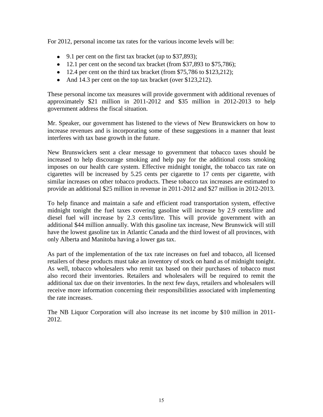For 2012, personal income tax rates for the various income levels will be:

- 9.1 per cent on the first tax bracket (up to \$37,893);
- $\bullet$  12.1 per cent on the second tax bracket (from \$37,893 to \$75,786);
- $\bullet$  12.4 per cent on the third tax bracket (from \$75,786 to \$123,212);
- And 14.3 per cent on the top tax bracket (over \$123,212).

These personal income tax measures will provide government with additional revenues of approximately \$21 million in 2011-2012 and \$35 million in 2012-2013 to help government address the fiscal situation.

Mr. Speaker, our government has listened to the views of New Brunswickers on how to increase revenues and is incorporating some of these suggestions in a manner that least interferes with tax base growth in the future.

New Brunswickers sent a clear message to government that tobacco taxes should be increased to help discourage smoking and help pay for the additional costs smoking imposes on our health care system. Effective midnight tonight, the tobacco tax rate on cigarettes will be increased by 5.25 cents per cigarette to 17 cents per cigarette, with similar increases on other tobacco products. These tobacco tax increases are estimated to provide an additional \$25 million in revenue in 2011-2012 and \$27 million in 2012-2013.

To help finance and maintain a safe and efficient road transportation system, effective midnight tonight the fuel taxes covering gasoline will increase by 2.9 cents/litre and diesel fuel will increase by 2.3 cents/litre. This will provide government with an additional \$44 million annually. With this gasoline tax increase, New Brunswick will still have the lowest gasoline tax in Atlantic Canada and the third lowest of all provinces, with only Alberta and Manitoba having a lower gas tax.

As part of the implementation of the tax rate increases on fuel and tobacco, all licensed retailers of these products must take an inventory of stock on hand as of midnight tonight. As well, tobacco wholesalers who remit tax based on their purchases of tobacco must also record their inventories. Retailers and wholesalers will be required to remit the additional tax due on their inventories. In the next few days, retailers and wholesalers will receive more information concerning their responsibilities associated with implementing the rate increases.

The NB Liquor Corporation will also increase its net income by \$10 million in 2011- 2012.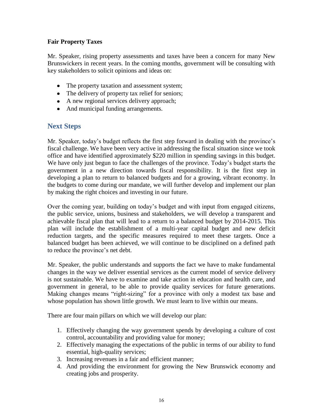#### <span id="page-15-0"></span>**Fair Property Taxes**

Mr. Speaker, rising property assessments and taxes have been a concern for many New Brunswickers in recent years. In the coming months, government will be consulting with key stakeholders to solicit opinions and ideas on:

- The property taxation and assessment system;
- The delivery of property tax relief for seniors;
- A new regional services delivery approach;
- And municipal funding arrangements.

#### **Next Steps**

Mr. Speaker, today's budget reflects the first step forward in dealing with the province's fiscal challenge. We have been very active in addressing the fiscal situation since we took office and have identified approximately \$220 million in spending savings in this budget. We have only just begun to face the challenges of the province. Today's budget starts the government in a new direction towards fiscal responsibility. It is the first step in developing a plan to return to balanced budgets and for a growing, vibrant economy. In the budgets to come during our mandate, we will further develop and implement our plan by making the right choices and investing in our future.

Over the coming year, building on today's budget and with input from engaged citizens, the public service, unions, business and stakeholders, we will develop a transparent and achievable fiscal plan that will lead to a return to a balanced budget by 2014-2015. This plan will include the establishment of a multi-year capital budget and new deficit reduction targets, and the specific measures required to meet these targets. Once a balanced budget has been achieved, we will continue to be disciplined on a defined path to reduce the province's net debt.

Mr. Speaker, the public understands and supports the fact we have to make fundamental changes in the way we deliver essential services as the current model of service delivery is not sustainable. We have to examine and take action in education and health care, and government in general, to be able to provide quality services for future generations. Making changes means "right-sizing" for a province with only a modest tax base and whose population has shown little growth. We must learn to live within our means.

There are four main pillars on which we will develop our plan:

- 1. Effectively changing the way government spends by developing a culture of cost control, accountability and providing value for money;
- 2. Effectively managing the expectations of the public in terms of our ability to fund essential, high-quality services;
- 3. Increasing revenues in a fair and efficient manner;
- 4. And providing the environment for growing the New Brunswick economy and creating jobs and prosperity.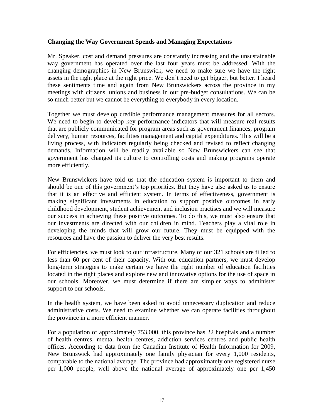#### <span id="page-16-0"></span>**Changing the Way Government Spends and Managing Expectations**

Mr. Speaker, cost and demand pressures are constantly increasing and the unsustainable way government has operated over the last four years must be addressed. With the changing demographics in New Brunswick, we need to make sure we have the right assets in the right place at the right price. We don't need to get bigger, but better. I heard these sentiments time and again from New Brunswickers across the province in my meetings with citizens, unions and business in our pre-budget consultations. We can be so much better but we cannot be everything to everybody in every location.

Together we must develop credible performance management measures for all sectors. We need to begin to develop key performance indicators that will measure real results that are publicly communicated for program areas such as government finances, program delivery, human resources, facilities management and capital expenditures. This will be a living process, with indicators regularly being checked and revised to reflect changing demands. Information will be readily available so New Brunswickers can see that government has changed its culture to controlling costs and making programs operate more efficiently.

New Brunswickers have told us that the education system is important to them and should be one of this government's top priorities. But they have also asked us to ensure that it is an effective and efficient system. In terms of effectiveness, government is making significant investments in education to support positive outcomes in early childhood development, student achievement and inclusion practises and we will measure our success in achieving these positive outcomes. To do this, we must also ensure that our investments are directed with our children in mind. Teachers play a vital role in developing the minds that will grow our future. They must be equipped with the resources and have the passion to deliver the very best results.

For efficiencies, we must look to our infrastructure. Many of our 321 schools are filled to less than 60 per cent of their capacity. With our education partners, we must develop long-term strategies to make certain we have the right number of education facilities located in the right places and explore new and innovative options for the use of space in our schools. Moreover, we must determine if there are simpler ways to administer support to our schools.

In the health system, we have been asked to avoid unnecessary duplication and reduce administrative costs. We need to examine whether we can operate facilities throughout the province in a more efficient manner.

For a population of approximately 753,000, this province has 22 hospitals and a number of health centres, mental health centres, addiction services centres and public health offices. According to data from the Canadian Institute of Health Information for 2009, New Brunswick had approximately one family physician for every 1,000 residents, comparable to the national average. The province had approximately one registered nurse per 1,000 people, well above the national average of approximately one per 1,450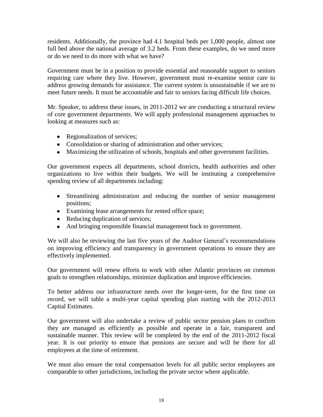residents. Additionally, the province had 4.1 hospital beds per 1,000 people, almost one full bed above the national average of 3.2 beds. From these examples, do we need more or do we need to do more with what we have?

Government must be in a position to provide essential and reasonable support to seniors requiring care where they live. However, government must re-examine senior care to address growing demands for assistance. The current system is unsustainable if we are to meet future needs. It must be accountable and fair to seniors facing difficult life choices.

Mr. Speaker, to address these issues, in 2011-2012 we are conducting a structural review of core government departments. We will apply professional management approaches to looking at measures such as:

- Regionalization of services;
- Consolidation or sharing of administration and other services;
- Maximizing the utilization of schools, hospitals and other government facilities.

Our government expects all departments, school districts, health authorities and other organizations to live within their budgets. We will be instituting a comprehensive spending review of all departments including:

- Streamlining administration and reducing the number of senior management positions;
- Examining lease arrangements for rented office space;
- Reducing duplication of services;
- And bringing responsible financial management back to government.

We will also be reviewing the last five years of the Auditor General's recommendations on improving efficiency and transparency in government operations to ensure they are effectively implemented.

Our government will renew efforts to work with other Atlantic provinces on common goals to strengthen relationships, minimize duplication and improve efficiencies.

To better address our infrastructure needs over the longer-term, for the first time on record, we will table a multi-year capital spending plan starting with the 2012-2013 Capital Estimates.

Our government will also undertake a review of public sector pension plans to confirm they are managed as efficiently as possible and operate in a fair, transparent and sustainable manner. This review will be completed by the end of the 2011-2012 fiscal year. It is our priority to ensure that pensions are secure and will be there for all employees at the time of retirement.

We must also ensure the total compensation levels for all public sector employees are comparable to other jurisdictions, including the private sector where applicable.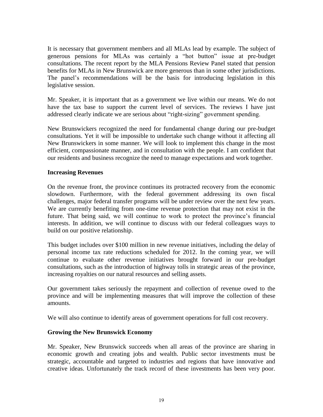<span id="page-18-0"></span>It is necessary that government members and all MLAs lead by example. The subject of generous pensions for MLAs was certainly a "hot button" issue at pre-budget consultations. The recent report by the MLA Pensions Review Panel stated that pension benefits for MLAs in New Brunswick are more generous than in some other jurisdictions. The panel's recommendations will be the basis for introducing legislation in this legislative session.

Mr. Speaker, it is important that as a government we live within our means. We do not have the tax base to support the current level of services. The reviews I have just addressed clearly indicate we are serious about "right-sizing" government spending.

New Brunswickers recognized the need for fundamental change during our pre-budget consultations. Yet it will be impossible to undertake such change without it affecting all New Brunswickers in some manner. We will look to implement this change in the most efficient, compassionate manner, and in consultation with the people. I am confident that our residents and business recognize the need to manage expectations and work together.

#### **Increasing Revenues**

On the revenue front, the province continues its protracted recovery from the economic slowdown. Furthermore, with the federal government addressing its own fiscal challenges, major federal transfer programs will be under review over the next few years. We are currently benefiting from one-time revenue protection that may not exist in the future. That being said, we will continue to work to protect the province's financial interests. In addition, we will continue to discuss with our federal colleagues ways to build on our positive relationship.

This budget includes over \$100 million in new revenue initiatives, including the delay of personal income tax rate reductions scheduled for 2012. In the coming year, we will continue to evaluate other revenue initiatives brought forward in our pre-budget consultations, such as the introduction of highway tolls in strategic areas of the province, increasing royalties on our natural resources and selling assets.

Our government takes seriously the repayment and collection of revenue owed to the province and will be implementing measures that will improve the collection of these amounts.

We will also continue to identify areas of government operations for full cost recovery.

#### **Growing the New Brunswick Economy**

Mr. Speaker, New Brunswick succeeds when all areas of the province are sharing in economic growth and creating jobs and wealth. Public sector investments must be strategic, accountable and targeted to industries and regions that have innovative and creative ideas. Unfortunately the track record of these investments has been very poor.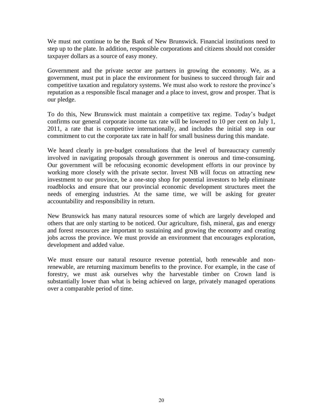We must not continue to be the Bank of New Brunswick. Financial institutions need to step up to the plate. In addition, responsible corporations and citizens should not consider taxpayer dollars as a source of easy money.

Government and the private sector are partners in growing the economy. We, as a government, must put in place the environment for business to succeed through fair and competitive taxation and regulatory systems. We must also work to restore the province's reputation as a responsible fiscal manager and a place to invest, grow and prosper. That is our pledge.

To do this, New Brunswick must maintain a competitive tax regime. Today's budget confirms our general corporate income tax rate will be lowered to 10 per cent on July 1, 2011, a rate that is competitive internationally, and includes the initial step in our commitment to cut the corporate tax rate in half for small business during this mandate.

We heard clearly in pre-budget consultations that the level of bureaucracy currently involved in navigating proposals through government is onerous and time-consuming. Our government will be refocusing economic development efforts in our province by working more closely with the private sector. Invest NB will focus on attracting new investment to our province, be a one-stop shop for potential investors to help eliminate roadblocks and ensure that our provincial economic development structures meet the needs of emerging industries. At the same time, we will be asking for greater accountability and responsibility in return.

New Brunswick has many natural resources some of which are largely developed and others that are only starting to be noticed. Our agriculture, fish, mineral, gas and energy and forest resources are important to sustaining and growing the economy and creating jobs across the province. We must provide an environment that encourages exploration, development and added value.

We must ensure our natural resource revenue potential, both renewable and nonrenewable, are returning maximum benefits to the province. For example, in the case of forestry, we must ask ourselves why the harvestable timber on Crown land is substantially lower than what is being achieved on large, privately managed operations over a comparable period of time.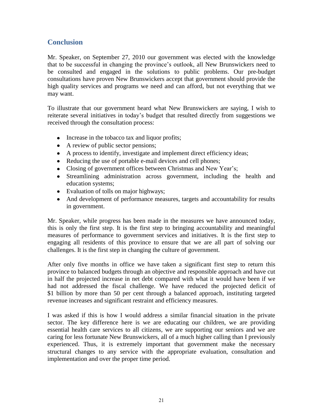#### <span id="page-20-0"></span>**Conclusion**

Mr. Speaker, on September 27, 2010 our government was elected with the knowledge that to be successful in changing the province's outlook, all New Brunswickers need to be consulted and engaged in the solutions to public problems. Our pre-budget consultations have proven New Brunswickers accept that government should provide the high quality services and programs we need and can afford, but not everything that we may want.

To illustrate that our government heard what New Brunswickers are saying, I wish to reiterate several initiatives in today's budget that resulted directly from suggestions we received through the consultation process:

- Increase in the tobacco tax and liquor profits;
- A review of public sector pensions;
- A process to identify, investigate and implement direct efficiency ideas;
- Reducing the use of portable e-mail devices and cell phones;
- Closing of government offices between Christmas and New Year's;
- Streamlining administration across government, including the health and education systems;
- Evaluation of tolls on major highways;
- And development of performance measures, targets and accountability for results in government.

Mr. Speaker, while progress has been made in the measures we have announced today, this is only the first step. It is the first step to bringing accountability and meaningful measures of performance to government services and initiatives. It is the first step to engaging all residents of this province to ensure that we are all part of solving our challenges. It is the first step in changing the culture of government.

After only five months in office we have taken a significant first step to return this province to balanced budgets through an objective and responsible approach and have cut in half the projected increase in net debt compared with what it would have been if we had not addressed the fiscal challenge. We have reduced the projected deficit of \$1 billion by more than 50 per cent through a balanced approach, instituting targeted revenue increases and significant restraint and efficiency measures.

I was asked if this is how I would address a similar financial situation in the private sector. The key difference here is we are educating our children, we are providing essential health care services to all citizens, we are supporting our seniors and we are caring for less fortunate New Brunswickers, all of a much higher calling than I previously experienced. Thus, it is extremely important that government make the necessary structural changes to any service with the appropriate evaluation, consultation and implementation and over the proper time period.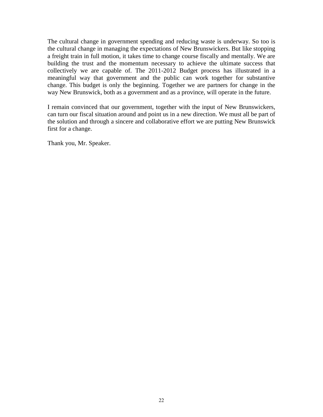The cultural change in government spending and reducing waste is underway. So too is the cultural change in managing the expectations of New Brunswickers. But like stopping a freight train in full motion, it takes time to change course fiscally and mentally. We are building the trust and the momentum necessary to achieve the ultimate success that collectively we are capable of. The 2011-2012 Budget process has illustrated in a meaningful way that government and the public can work together for substantive change. This budget is only the beginning. Together we are partners for change in the way New Brunswick, both as a government and as a province, will operate in the future.

I remain convinced that our government, together with the input of New Brunswickers, can turn our fiscal situation around and point us in a new direction. We must all be part of the solution and through a sincere and collaborative effort we are putting New Brunswick first for a change.

Thank you, Mr. Speaker.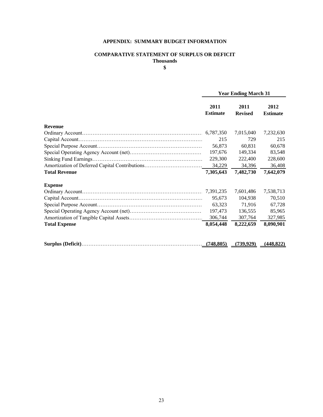#### **APPENDIX: SUMMARY BUDGET INFORMATION**

#### **COMPARATIVE STATEMENT OF SURPLUS OR DEFICIT Thousands**

**\$**

<span id="page-22-0"></span>

|                                                | <b>Year Ending March 31</b> |                        |                         |  |
|------------------------------------------------|-----------------------------|------------------------|-------------------------|--|
|                                                | 2011<br><b>Estimate</b>     | 2011<br><b>Revised</b> | 2012<br><b>Estimate</b> |  |
| <b>Revenue</b>                                 |                             |                        |                         |  |
|                                                | 6,787,350                   | 7,015,040              | 7,232,630               |  |
|                                                | 215                         | 729                    | 215                     |  |
|                                                | 56,873                      | 60,831                 | 60,678                  |  |
|                                                | 197,676                     | 149,334                | 83,548                  |  |
|                                                | 229,300                     | 222,400                | 228,600                 |  |
| Amortization of Deferred Capital Contributions | 34,229                      | 34,396                 | 36,408                  |  |
| <b>Total Revenue</b>                           | 7,305,643                   | 7,482,730              | 7,642,079               |  |
| <b>Expense</b>                                 |                             |                        |                         |  |
|                                                |                             | 7,601,486              | 7,538,713               |  |
|                                                | 95,673                      | 104,938                | 70,510                  |  |
|                                                | 63,323                      | 71,916                 | 67,728                  |  |
|                                                | 197,473                     | 136,555                | 85,965                  |  |
|                                                | 306,744                     | 307,764                | 327,985                 |  |
| <b>Total Expense</b>                           | 8,054,448                   | 8,222,659              | 8,090,901               |  |
|                                                | (748, 805)                  | (739, 929)             | (448, 822)              |  |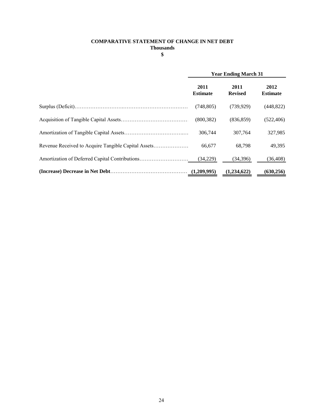#### **COMPARATIVE STATEMENT OF CHANGE IN NET DEBT Thousands**

**\$**

| <b>Year Ending March 31</b> |                        |                         |  |
|-----------------------------|------------------------|-------------------------|--|
| 2011<br><b>Estimate</b>     | 2011<br><b>Revised</b> | 2012<br><b>Estimate</b> |  |
| (748, 805)                  | (739, 929)             | (448, 822)              |  |
| (800, 382)                  | (836, 859)             | (522, 406)              |  |
| 306,744                     | 307.764                | 327,985                 |  |
| 66.677                      | 68.798                 | 49,395                  |  |
| (34,229)                    | (34,396)               | (36, 408)               |  |
|                             | (1,234,622)            | (630, 256)              |  |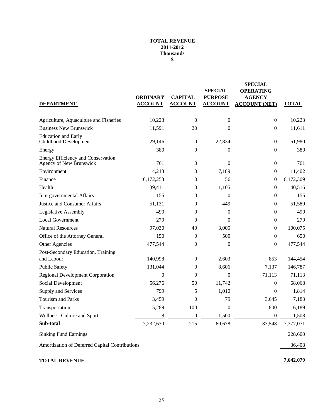#### **TOTAL REVENUE 2011-2012 Thousands \$**

| <b>DEPARTMENT</b>                                             | <b>ORDINARY</b><br><b>ACCOUNT</b> | <b>CAPITAL</b><br><b>ACCOUNT</b> | <b>SPECIAL</b><br><b>PURPOSE</b><br><b>ACCOUNT</b> | <b>SPECIAL</b><br><b>OPERATING</b><br><b>AGENCY</b><br><b>ACCOUNT (NET)</b> | <b>TOTAL</b> |
|---------------------------------------------------------------|-----------------------------------|----------------------------------|----------------------------------------------------|-----------------------------------------------------------------------------|--------------|
| Agriculture, Aquaculture and Fisheries                        | 10,223                            | $\boldsymbol{0}$                 | $\boldsymbol{0}$                                   | $\boldsymbol{0}$                                                            | 10,223       |
| <b>Business New Brunswick</b>                                 | 11,591                            | 20                               | 0                                                  | $\boldsymbol{0}$                                                            | 11,611       |
| <b>Education and Early</b><br>Childhood Development           | 29,146                            | $\boldsymbol{0}$                 | 22,834                                             | $\boldsymbol{0}$                                                            | 51,980       |
| Energy                                                        | 380                               | $\mathbf{0}$                     | 0                                                  | $\boldsymbol{0}$                                                            | 380          |
| Energy Efficiency and Conservation<br>Agency of New Brunswick | 761                               | $\boldsymbol{0}$                 | $\overline{0}$                                     | $\boldsymbol{0}$                                                            | 761          |
| Environment                                                   | 4,213                             | $\mathbf{0}$                     | 7,189                                              | $\boldsymbol{0}$                                                            | 11,402       |
| Finance                                                       | 6,172,253                         | $\theta$                         | 56                                                 | $\boldsymbol{0}$                                                            | 6,172,309    |
| Health                                                        | 39,411                            | $\theta$                         | 1,105                                              | $\boldsymbol{0}$                                                            | 40,516       |
| <b>Intergovernmental Affairs</b>                              | 155                               | $\boldsymbol{0}$                 | 0                                                  | $\boldsymbol{0}$                                                            | 155          |
| Justice and Consumer Affairs                                  | 51,131                            | $\boldsymbol{0}$                 | 449                                                | $\overline{0}$                                                              | 51,580       |
| <b>Legislative Assembly</b>                                   | 490                               | $\boldsymbol{0}$                 | $\boldsymbol{0}$                                   | $\boldsymbol{0}$                                                            | 490          |
| <b>Local Government</b>                                       | 279                               | $\theta$                         | $\overline{0}$                                     | 0                                                                           | 279          |
| <b>Natural Resources</b>                                      | 97,030                            | 40                               | 3,005                                              | $\boldsymbol{0}$                                                            | 100,075      |
| Office of the Attorney General                                | 150                               | $\theta$                         | 500                                                | $\boldsymbol{0}$                                                            | 650          |
| Other Agencies                                                | 477,544                           | $\mathbf{0}$                     | $\boldsymbol{0}$                                   | $\boldsymbol{0}$                                                            | 477,544      |
| Post-Secondary Education, Training                            |                                   |                                  |                                                    |                                                                             |              |
| and Labour                                                    | 140,998                           | $\boldsymbol{0}$                 | 2,603                                              | 853                                                                         | 144,454      |
| <b>Public Safety</b>                                          | 131,044                           | $\mathbf{0}$                     | 8,606                                              | 7,137                                                                       | 146,787      |
| <b>Regional Development Corporation</b>                       | $\overline{0}$                    | $\overline{0}$                   | $\boldsymbol{0}$                                   | 71,113                                                                      | 71,113       |
| Social Development                                            | 56,276                            | 50                               | 11,742                                             | 0                                                                           | 68,068       |
| Supply and Services                                           | 799                               | 5                                | 1,010                                              | $\boldsymbol{0}$                                                            | 1,814        |
| Tourism and Parks                                             | 3,459                             | $\mathbf{0}$                     | 79                                                 | 3,645                                                                       | 7,183        |
| Transportation                                                | 5,289                             | 100                              | $\boldsymbol{0}$                                   | 800                                                                         | 6,189        |
| Wellness, Culture and Sport                                   | 8                                 | $\overline{0}$                   | 1,500                                              | $\overline{0}$                                                              | 1,508        |
| Sub-total                                                     | 7,232,630                         | 215                              | 60,678                                             | 83,548                                                                      | 7,377,071    |
| <b>Sinking Fund Earnings</b>                                  |                                   |                                  |                                                    |                                                                             | 228,600      |
| Amortization of Deferred Capital Contributions                |                                   |                                  |                                                    |                                                                             | 36,408       |
| <b>TOTAL REVENUE</b>                                          |                                   |                                  |                                                    |                                                                             | 7,642,079    |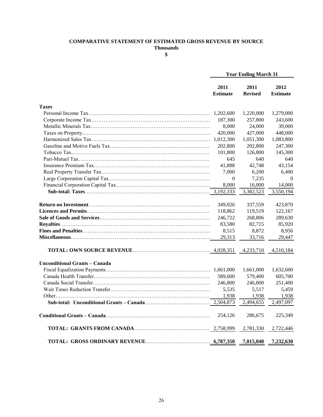#### **COMPARATIVE STATEMENT OF ESTIMATED GROSS REVENUE BY SOURCE**

**Thousands**

**\$**

|                               | <b>Year Ending March 31</b> |                        |                         |
|-------------------------------|-----------------------------|------------------------|-------------------------|
|                               | 2011<br><b>Estimate</b>     | 2011<br><b>Revised</b> | 2012<br><b>Estimate</b> |
| <b>Taxes</b>                  |                             |                        |                         |
|                               | 1,202,600                   | 1,220,000              | 1,279,000               |
|                               | 187,300                     | 257,800                | 243,600                 |
|                               | 8,000                       | 24,000                 | 39,000                  |
|                               | 420,000                     | 427,000                | 448,000                 |
|                               | 1,012,300                   | 1,051,300              | 1,083,800               |
|                               | 202,800                     | 202,800                | 247,300                 |
|                               | 101,800                     | 126,800                | 145,300                 |
|                               | 645                         | 640                    | 640                     |
|                               | 41,888                      | 42,748                 | 43,154                  |
|                               | 7,000                       | 6,200                  | 6,400                   |
|                               | $\overline{0}$              | 7,235                  | $\Omega$                |
|                               | 8,000                       | 16,000                 | 14,000                  |
|                               | 3,192,333                   | 3,382,523              | 3,550,194               |
|                               | 349,026                     | 337,559                | 423,870                 |
|                               | 118,862                     | 119,519                | 122,167                 |
|                               | 246,722                     | 268,806                | 289,630                 |
|                               | 83,580                      | 82,715                 | 85,920                  |
|                               | 8,515                       | 8,872                  | 8,956                   |
|                               | 29,313                      | 33,716                 | 29,447                  |
|                               |                             | 4,233,710              | 4,510,184               |
| Unconditional Grants - Canada |                             |                        |                         |
|                               |                             | 1,661,000              | 1,632,600               |
|                               | 589,600                     | 579,400                | 605,700                 |
|                               | 246,800                     | 246,800                | 251,400                 |
|                               | 5,535                       | 5,517                  | 5,459                   |
|                               | 1,938                       | 1,938                  | 1,938                   |
|                               | 2,504,873                   | 2,494,655              | 2,497,097               |
|                               | 254,126                     | 286,675                | 225,349                 |
|                               |                             | 2,781,330              | 2,722,446               |
|                               |                             | 7,015,040              | 7,232,630               |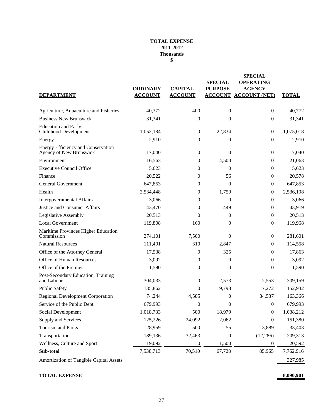#### **TOTAL EXPENSE 2011-2012 Thousands \$**

|                                                               | <b>ORDINARY</b> | <b>CAPITAL</b>   | <b>SPECIAL</b><br><b>PURPOSE</b> | <b>SPECIAL</b><br><b>OPERATING</b><br><b>AGENCY</b> |              |
|---------------------------------------------------------------|-----------------|------------------|----------------------------------|-----------------------------------------------------|--------------|
| <b>DEPARTMENT</b>                                             | <b>ACCOUNT</b>  | <b>ACCOUNT</b>   |                                  | <b>ACCOUNT ACCOUNT (NET)</b>                        | <b>TOTAL</b> |
| Agriculture, Aquaculture and Fisheries                        | 40,372          | 400              | $\mathbf{0}$                     | $\mathbf{0}$                                        | 40,772       |
| <b>Business New Brunswick</b>                                 | 31,341          | $\boldsymbol{0}$ | 0                                | 0                                                   | 31,341       |
| <b>Education and Early</b><br>Childhood Development           | 1,052,184       | $\boldsymbol{0}$ | 22,834                           | $\boldsymbol{0}$                                    | 1,075,018    |
| Energy                                                        | 2,910           | $\boldsymbol{0}$ | 0                                | $\mathbf{0}$                                        | 2,910        |
| Energy Efficiency and Conservation<br>Agency of New Brunswick | 17,040          | $\boldsymbol{0}$ | $\overline{0}$                   | $\theta$                                            | 17,040       |
| Environment                                                   | 16,563          | $\boldsymbol{0}$ | 4,500                            | $\theta$                                            | 21,063       |
| <b>Executive Council Office</b>                               | 5,623           | 0                | $\theta$                         | $\theta$                                            | 5,623        |
| Finance                                                       | 20,522          | 0                | 56                               | $\overline{0}$                                      | 20,578       |
| <b>General Government</b>                                     | 647,853         | $\boldsymbol{0}$ | $\theta$                         | 0                                                   | 647,853      |
| Health                                                        | 2,534,448       | $\boldsymbol{0}$ | 1,750                            | 0                                                   | 2,536,198    |
| Intergovernmental Affairs                                     | 3,066           | $\theta$         | 0                                | $\mathbf{0}$                                        | 3,066        |
| Justice and Consumer Affairs                                  | 43,470          | $\theta$         | 449                              | $\overline{0}$                                      | 43,919       |
| Legislative Assembly                                          | 20,513          | $\Omega$         | $\theta$                         | $\overline{0}$                                      | 20,513       |
| <b>Local Government</b>                                       | 119,808         | 160              | 0                                | 0                                                   | 119,968      |
| Maritime Provinces Higher Education<br>Commission             | 274,101         | 7,500            | $\theta$                         | $\mathbf{0}$                                        | 281,601      |
| <b>Natural Resources</b>                                      | 111,401         | 310              | 2,847                            | $\theta$                                            | 114,558      |
| Office of the Attorney General                                | 17,538          | $\theta$         | 325                              | 0                                                   | 17,863       |
| Office of Human Resources                                     | 3,092           | $\boldsymbol{0}$ | 0                                | $\overline{0}$                                      | 3,092        |
| Office of the Premier                                         | 1,590           | $\boldsymbol{0}$ | $\boldsymbol{0}$                 | 0                                                   | 1,590        |
| Post-Secondary Education, Training<br>and Labour              | 304,033         | $\boldsymbol{0}$ | 2,573                            | 2,553                                               | 309,159      |
| <b>Public Safety</b>                                          | 135,862         | $\Omega$         | 9,798                            | 7,272                                               | 152,932      |
| <b>Regional Development Corporation</b>                       | 74,244          | 4,585            | $\overline{0}$                   | 84,537                                              | 163,366      |
| Service of the Public Debt                                    | 679,993         | $\boldsymbol{0}$ | 0                                | $\mathbf{0}$                                        | 679,993      |
| Social Development                                            | 1,018,733       | 500              | 18,979                           | $\boldsymbol{0}$                                    | 1,038,212    |
| Supply and Services                                           | 125,226         | 24,092           | 2,062                            | 0                                                   | 151,380      |
| Tourism and Parks                                             | 28,959          | 500              | 55                               | 3,889                                               | 33,403       |
| Transportation                                                | 189,136         | 32,463           | $\boldsymbol{0}$                 | (12, 286)                                           | 209,313      |
| Wellness, Culture and Sport                                   | 19,092          | $\boldsymbol{0}$ | 1,500                            | $\boldsymbol{0}$                                    | 20,592       |
| Sub-total                                                     | 7,538,713       | 70,510           | 67,728                           | 85,965                                              | 7,762,916    |
| Amortization of Tangible Capital Assets                       |                 |                  |                                  |                                                     | 327,985      |

#### **TOTAL EXPENSE 8,090,901**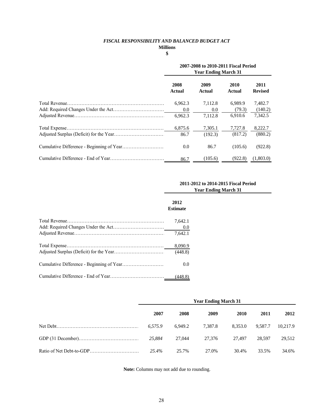#### *FISCAL RESPONSIBILITY AND BALANCED BUDGET ACT*

#### **Millions**

#### **\$**

| 2007-2008 to 2010-2011 Fiscal Period<br><b>Year Ending March 31</b> |                |                   |                        |  |  |
|---------------------------------------------------------------------|----------------|-------------------|------------------------|--|--|
| 2008<br>Actual                                                      | 2009<br>Actual | 2010<br>Actual    | 2011<br><b>Revised</b> |  |  |
| 6,962.3<br>0.0                                                      | 7,112.8<br>0.0 | 6,989.9<br>(79.3) | 7,482.7<br>(140.2)     |  |  |
| 6.962.3                                                             | 7.112.8        | 6.910.6           | 7.342.5                |  |  |
| 6,875.6                                                             | 7,305.1        | 7,727.8           | 8,222.7                |  |  |
| 86.7                                                                | (192.3)        | (817.2)           | (880.2)                |  |  |
| 0.0                                                                 | 86.7           | (105.6)           | (922.8)                |  |  |
| 86.7                                                                | (105.6)        | (922.8)           | (1,803.0)              |  |  |

#### **2011-2012 to 2014-2015 Fiscal Period Year Ending March 31**

| 2012<br><b>Estimate</b> |
|-------------------------|
| 7.642.1                 |
| 0.0                     |
| 7.642.1                 |
| 8,090.9                 |
| (448.8)                 |
| 0.0                     |
| (448.8)                 |

| <b>Year Ending March 31</b> |         |         |         |         |          |  |
|-----------------------------|---------|---------|---------|---------|----------|--|
| 2007                        | 2008    | 2009    | 2010    | 2011    | 2012     |  |
| 6.575.9                     | 6.949.2 | 7.387.8 | 8.353.0 | 9.587.7 | 10,217.9 |  |
| 25.884                      | 27,044  | 27.376  | 27.497  | 28.597  | 29.512   |  |
| 25.4%                       | 25.7%   | 27.0%   | 30.4%   | 33.5%   | 34.6%    |  |

**Note:** Columns may not add due to rounding.